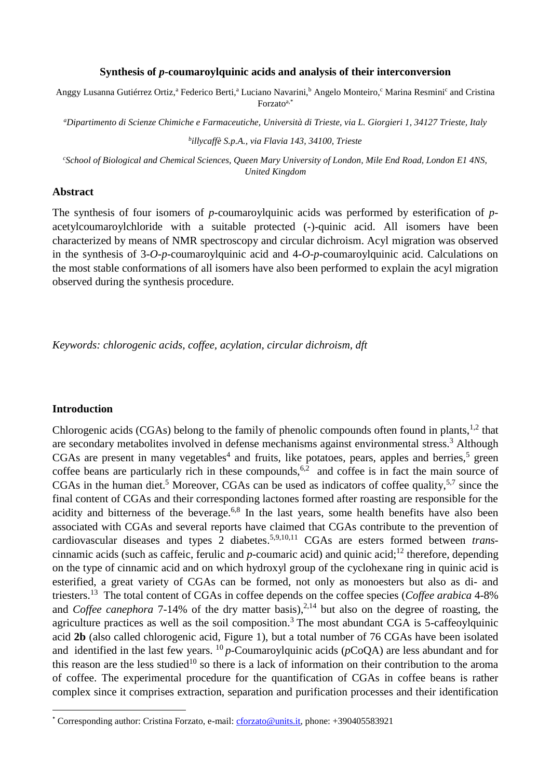#### **Synthesis of** *p***-coumaroylquinic acids and analysis of their interconversion**

Anggy Lusanna Gutiérrez Ortiz,<sup>a</sup> Federico Berti,<sup>a</sup> Luciano Navarini,<sup>b</sup> Angelo Monteiro,<sup>c</sup> Marina Resmini<sup>c</sup> and Cristina Forzatoa,\*

*<sup>a</sup>Dipartimento di Scienze Chimiche e Farmaceutiche, Università di Trieste, via L. Giorgieri 1, 34127 Trieste, Italy*

*b illycaffè S.p.A., via Flavia 143, 34100, Trieste*

*<sup>c</sup>School of Biological and Chemical Sciences, Queen Mary University of London, Mile End Road, London E1 4NS, United Kingdom*

### **Abstract**

The synthesis of four isomers of *p*-coumaroylquinic acids was performed by esterification of *p*acetylcoumaroylchloride with a suitable protected (-)-quinic acid. All isomers have been characterized by means of NMR spectroscopy and circular dichroism. Acyl migration was observed in the synthesis of 3-*O*-*p*-coumaroylquinic acid and 4-*O*-*p*-coumaroylquinic acid. Calculations on the most stable conformations of all isomers have also been performed to explain the acyl migration observed during the synthesis procedure.

*Keywords: chlorogenic acids, coffee, acylation, circular dichroism, dft*

### **Introduction**

**.** 

Chlorogenic acids (CGAs) belong to the family of phenolic compounds often found in plants,  $^{1,2}$  that are secondary metabolites involved in defense mechanisms against environmental stress.<sup>3</sup> Although CGAs are present in many vegetables<sup>4</sup> and fruits, like potatoes, pears, apples and berries,<sup>5</sup> green coffee beans are particularly rich in these compounds,  $6,2$  and coffee is in fact the main source of CGAs in the human diet.<sup>5</sup> Moreover, CGAs can be used as indicators of coffee quality,<sup>5,7</sup> since the final content of CGAs and their corresponding lactones formed after roasting are responsible for the acidity and bitterness of the beverage.<sup>6,8</sup> In the last years, some health benefits have also been associated with CGAs and several reports have claimed that CGAs contribute to the prevention of cardiovascular diseases and types 2 diabetes. 5,9,10,11 CGAs are esters formed between *trans*cinnamic acids (such as caffeic, ferulic and *p*-coumaric acid) and quinic acid;<sup>12</sup> therefore, depending on the type of cinnamic acid and on which hydroxyl group of the cyclohexane ring in quinic acid is esterified, a great variety of CGAs can be formed, not only as monoesters but also as di- and triesters. <sup>13</sup> The total content of CGAs in coffee depends on the coffee species (*Coffee arabica* 4-8% and *Coffee canephora* 7-14% of the dry matter basis),<sup>2,14</sup> but also on the degree of roasting, the agriculture practices as well as the soil composition.<sup>3</sup> The most abundant CGA is 5-caffeoylquinic acid **2b** (also called chlorogenic acid, Figure 1), but a total number of 76 CGAs have been isolated and identified in the last few years. <sup>10</sup> p-Coumaroylquinic acids ( $p$ CoQA) are less abundant and for this reason are the less studied<sup>10</sup> so there is a lack of information on their contribution to the aroma of coffee. The experimental procedure for the quantification of CGAs in coffee beans is rather complex since it comprises extraction, separation and purification processes and their identification

<sup>\*</sup> Corresponding author: Cristina Forzato, e-mail: [cforzato@units.it,](mailto:cforzato@units.it) phone: +390405583921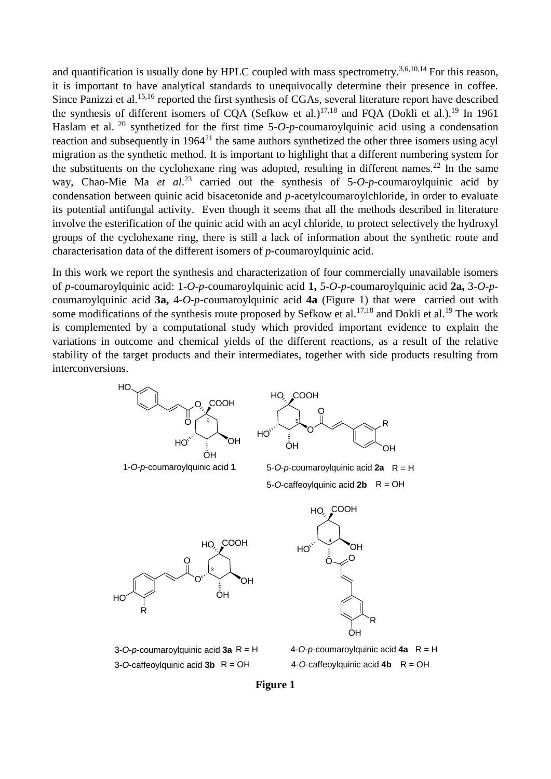<span id="page-1-0"></span>and quantification is usually done by HPLC coupled with mass spectrometry.<sup>3,6,10,14</sup> For this reason, it is important to have analytical standards to unequivocally determine their presence in coffee. Since Panizzi et al.<sup>15,16</sup> reported the first synthesis of CGAs, several literature report have described the synthesis of different isomers of CQA (Sefkow et al.)<sup>17,18</sup> and FQA (Dokli et al.).<sup>19</sup> In 1961 Haslam et al. <sup>20</sup> synthetized for the first time 5-*O-p*-coumaroylquinic acid using a condensation reaction and subsequently in 1964<sup>21</sup> the same authors synthetized the other three isomers using acyl migration as the synthetic method. It is important to highlight that a different numbering system for the substituents on the cyclohexane ring was adopted, resulting in different names.<sup>22</sup> In the same way, Chao-Mie Ma *et al*. <sup>23</sup> carried out the synthesis of 5-*O*-*p-*coumaroylquinic acid by condensation between quinic acid bisacetonide and *p-*acetylcoumaroylchloride, in order to evaluate its potential antifungal activity. Even though it seems that all the methods described in literature involve the esterification of the quinic acid with an acyl chloride, to protect selectively the hydroxyl groups of the cyclohexane ring, there is still a lack of information about the synthetic route and characterisation data of the different isomers of *p-*coumaroylquinic acid.

<span id="page-1-1"></span>In this work we report the synthesis and characterization of four commercially unavailable isomers of *p-*coumaroylquinic acid: 1-*O*-*p-*coumaroylquinic acid **1,** 5-*O*-*p-*coumaroylquinic acid **2a,** 3-*O-p*coumaroylquinic acid **3a,** 4-*O*-*p-*coumaroylquinic acid **4a** (Figure 1) that were carried out with some modifications of the synthesis route proposed by Sefkow et al.<sup>17,18</sup> and Dokli et al.<sup>19</sup> The work is complemented by a computational study which provided important evidence to explain the variations in outcome and chemical yields of the different reactions, as a result of the relative stability of the target products and their intermediates, together with side products resulting from interconversions.



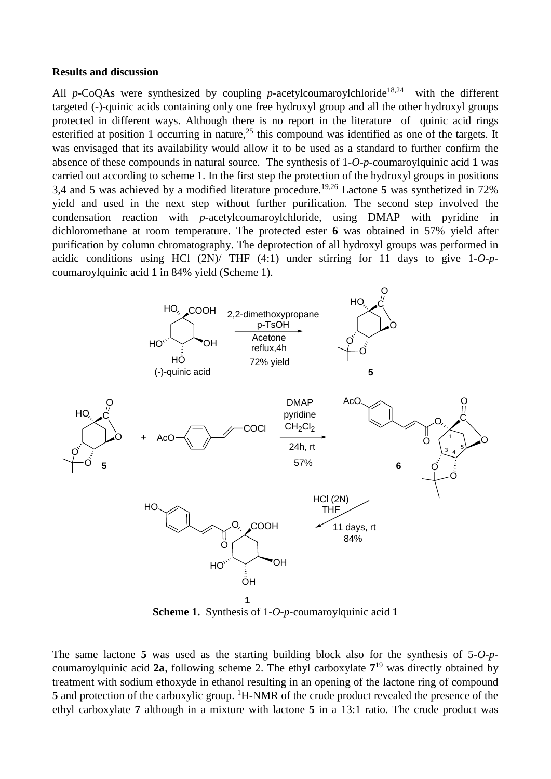#### **Results and discussion**

All *p*-CoQAs were synthesized by coupling *p*-acetylcoumaroylchloride<sup>18,24</sup> with the different targeted (-)-quinic acids containing only one free hydroxyl group and all the other hydroxyl groups protected in different ways. Although there is no report in the literature of quinic acid rings esterified at position 1 occurring in nature,<sup>25</sup> this compound was identified as one of the targets. It was envisaged that its availability would allow it to be used as a standard to further confirm the absence of these compounds in natural source. The synthesis of 1-*O*-*p-*coumaroylquinic acid **1** was carried out according to scheme 1. In the first step the protection of the hydroxyl groups in positions 3,4 and 5 was achieved by a modified literature procedure.19,26 Lactone **5** was synthetized in 72% yield and used in the next step without further purification. The second step involved the condensation reaction with *p*-acetylcoumaroylchloride, using DMAP with pyridine in dichloromethane at room temperature. The protected ester **6** was obtained in 57% yield after purification by column chromatography. The deprotection of all hydroxyl groups was performed in acidic conditions using HCl (2N)/ THF (4:1) under stirring for 11 days to give 1-*O*-*p*coumaroylquinic acid **1** in 84% yield (Scheme 1).



**Scheme 1.** Synthesis of 1-*O*-*p-*coumaroylquinic acid **1**

The same lactone **5** was used as the starting building block also for the synthesis of 5-*O*-*p*coumaroylquinic acid **2a**, following scheme 2. The ethyl carboxylate **7** <sup>19</sup> was directly obtained by treatment with sodium ethoxyde in ethanol resulting in an opening of the lactone ring of compound 5 and protection of the carboxylic group. <sup>1</sup>H-NMR of the crude product revealed the presence of the ethyl carboxylate **7** although in a mixture with lactone **5** in a 13:1 ratio. The crude product was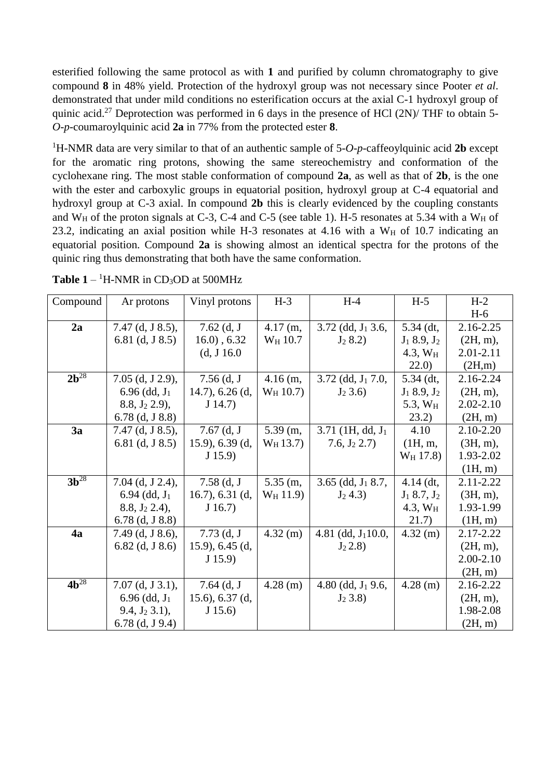esterified following the same protocol as with **1** and purified by column chromatography to give compound **8** in 48% yield. Protection of the hydroxyl group was not necessary since Pooter *et al*. demonstrated that under mild conditions no esterification occurs at the axial C-1 hydroxyl group of quinic acid.<sup>27</sup> Deprotection was performed in 6 days in the presence of HCl  $(2N)/$  THF to obtain 5-*O*-*p-*coumaroylquinic acid **2a** in 77% from the protected ester **8**.

<sup>1</sup>H-NMR data are very similar to that of an authentic sample of 5-*O*-*p-*caffeoylquinic acid **2b** except for the aromatic ring protons, showing the same stereochemistry and conformation of the cyclohexane ring. The most stable conformation of compound **2a**, as well as that of **2b**, is the one with the ester and carboxylic groups in equatorial position, hydroxyl group at C-4 equatorial and hydroxyl group at C-3 axial. In compound **2b** this is clearly evidenced by the coupling constants and  $W_H$  of the proton signals at C-3, C-4 and C-5 (see table 1). H-5 resonates at 5.34 with a  $W_H$  of 23.2, indicating an axial position while H-3 resonates at 4.16 with a  $W_H$  of 10.7 indicating an equatorial position. Compound **2a** is showing almost an identical spectra for the protons of the quinic ring thus demonstrating that both have the same conformation.

<span id="page-3-0"></span>

| Compound  | Ar protons          | Vinyl protons     | $H-3$               | $H-4$                           | $H-5$            | $H-2$         |
|-----------|---------------------|-------------------|---------------------|---------------------------------|------------------|---------------|
|           |                     |                   |                     |                                 |                  | $H-6$         |
| 2a        | $7.47$ (d, J 8.5),  | $7.62$ (d, J      | $4.17$ (m,          | $3.72$ (dd, $J_1$ 3.6,          | 5.34 (dt,        | 2.16-2.25     |
|           | 6.81 $(d, J, 8.5)$  | $16.0)$ , 6.32    | W <sub>H</sub> 10.7 | $J_2$ 8.2)                      | $J_1$ 8.9, $J_2$ | $(2H, m)$ ,   |
|           |                     | (d, J 16.0)       |                     |                                 | $4.3, W_H$       | 2.01-2.11     |
|           |                     |                   |                     |                                 | 22.0)            | (2H,m)        |
| $2b^{28}$ | $7.05$ (d, J 2.9),  | $7.56$ (d, J      | $4.16$ (m,          | $3.72$ (dd, J <sub>1</sub> 7.0, | $5.34$ (dt,      | 2.16-2.24     |
|           | $6.96$ (dd, $J_1$ ) | $14.7$ , 6.26 (d, | $W_H$ 10.7)         | $J_2 3.6$                       | $J_1$ 8.9, $J_2$ | $(2H, m)$ ,   |
|           | 8.8, $J_2$ 2.9),    | J(14.7)           |                     |                                 | 5.3, $W_H$       | $2.02 - 2.10$ |
|           | $6.78$ (d, J 8.8)   |                   |                     |                                 | (23.2)           | (2H, m)       |
| 3a        | $7.47$ (d, J 8.5),  | $7.67$ (d, J      | $5.39$ (m,          | $3.71$ (1H, dd, $J_1$ )         | 4.10             | 2.10-2.20     |
|           | 6.81 $(d, J, 8.5)$  | $15.9$ , 6.39 (d, | $W_H$ 13.7)         | 7.6, $J_2$ 2.7)                 | (1H, m,          | $(3H, m)$ ,   |
|           |                     | J(15.9)           |                     |                                 | $W_H$ 17.8)      | 1.93-2.02     |
|           |                     |                   |                     |                                 |                  | (1H, m)       |
| $3b^{28}$ | $7.04$ (d, J 2.4),  | $7.58$ (d, J      | $5.35$ (m,          | $3.65$ (dd, $J_1$ 8.7,          | $4.14$ (dt,      | $2.11 - 2.22$ |
|           | $6.94$ (dd, $J_1$ ) | $16.7$ , 6.31 (d, | $W_H$ 11.9)         | $J_2$ 4.3)                      | $J_1$ 8.7, $J_2$ | $(3H, m)$ ,   |
|           | $8.8, J_2 2.4$ ,    | J(16.7)           |                     |                                 | $4.3, W_{H}$     | 1.93-1.99     |
|           | $6.78$ (d, J 8.8)   |                   |                     |                                 | 21.7)            | (H, m)        |
| 4a        | 7.49 (d, J 8.6),    | $7.73$ (d, J      | $4.32$ (m)          | 4.81 (dd, $J_110.0$ ,           | $4.32$ (m)       | 2.17-2.22     |
|           | $6.82$ (d, J 8.6)   | $15.9$ , 6.45 (d, |                     | $J_2 2.8$                       |                  | $(2H, m)$ ,   |
|           |                     | J(15.9)           |                     |                                 |                  | 2.00-2.10     |
|           |                     |                   |                     |                                 |                  | (2H, m)       |
| $4b^{28}$ | $7.07$ (d, J 3.1),  | 7.64 $(d, J)$     | $4.28$ (m)          | 4.80 (dd, $J_1$ 9.6,            | $4.28$ (m)       | 2.16-2.22     |
|           | $6.96$ (dd, $J_1$ ) | 15.6), $6.37$ (d, |                     | $J_2$ 3.8)                      |                  | $(2H, m)$ ,   |
|           | $9.4, J_2 3.1$ ,    | J(15.6)           |                     |                                 |                  | 1.98-2.08     |
|           | $6.78$ (d, J 9.4)   |                   |                     |                                 |                  | (2H, m)       |

**Table 1** –  ${}^{1}$ H-NMR in CD<sub>3</sub>OD at 500MHz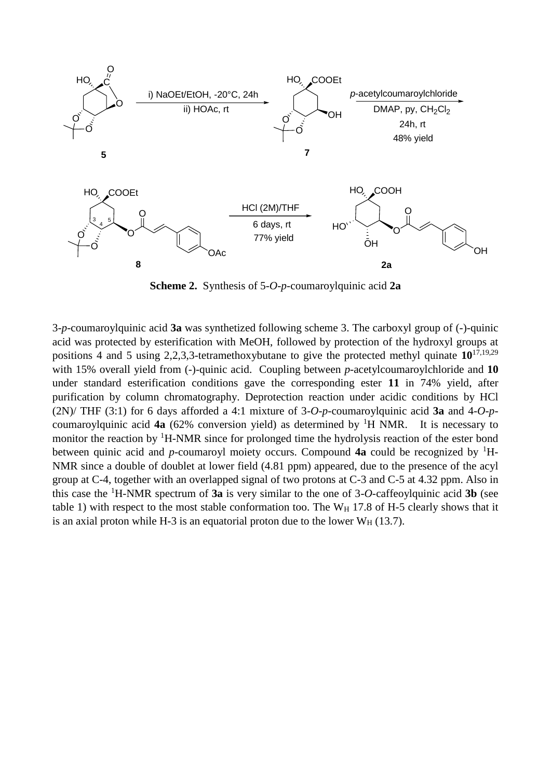

**Scheme 2.** Synthesis of 5-*O*-*p-*coumaroylquinic acid **2a**

3-*p-*coumaroylquinic acid **3a** was synthetized following scheme 3. The carboxyl group of (-)-quinic acid was protected by esterification with MeOH, followed by protection of the hydroxyl groups at positions 4 and 5 using 2,2,3,3-tetramethoxybutane to give the protected methyl quinate **10**17,19,29 with 15% overall yield from (-)-quinic acid. Coupling between *p*-acetylcoumaroylchloride and 10 under standard esterification conditions gave the corresponding ester **11** in 74% yield, after purification by column chromatography. Deprotection reaction under acidic conditions by HCl (2N)/ THF (3:1) for 6 days afforded a 4:1 mixture of 3-*O*-*p-*coumaroylquinic acid **3a** and 4-*O*-*p*coumaroylquinic acid **4a** (62% conversion yield) as determined by <sup>1</sup>H NMR. It is necessary to monitor the reaction by  ${}^{1}$ H-NMR since for prolonged time the hydrolysis reaction of the ester bond between quinic acid and *p*-coumaroyl moiety occurs. Compound **4a** could be recognized by <sup>1</sup>H-NMR since a double of doublet at lower field (4.81 ppm) appeared, due to the presence of the acyl group at C-4, together with an overlapped signal of two protons at C-3 and C-5 at 4.32 ppm. Also in this case the <sup>1</sup>H-NMR spectrum of **3a** is very similar to the one of 3-*O*-caffeoylquinic acid **3b** (see table 1) with respect to the most stable conformation too. The  $W_H$  17.8 of H-5 clearly shows that it is an axial proton while H-3 is an equatorial proton due to the lower  $W_H$  (13.7).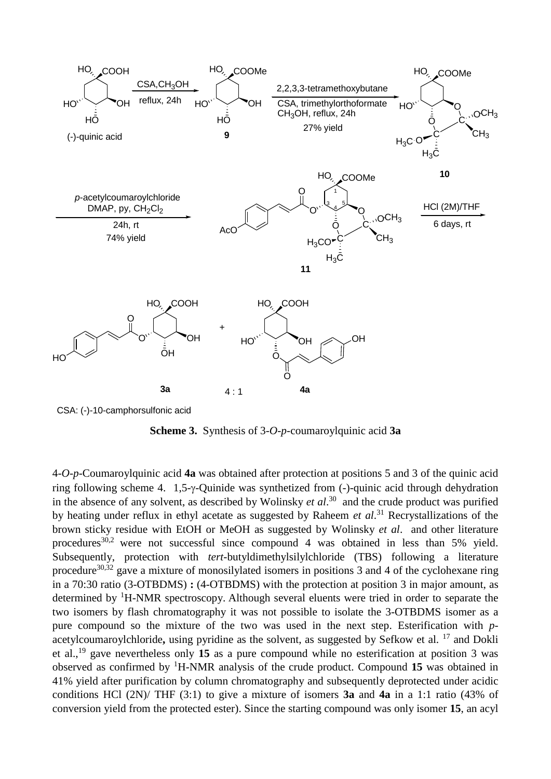

CSA: (-)-10-camphorsulfonic acid

**Scheme 3.** Synthesis of 3-*O*-*p-*coumaroylquinic acid **3a**

4-*O*-*p-*Coumaroylquinic acid **4a** was obtained after protection at positions 5 and 3 of the quinic acid ring following scheme 4.  $1.5-\gamma$ -Quinide was synthetized from  $(-)$ -quinic acid through dehydration in the absence of any solvent, as described by Wolinsky *et al*. 30 and the crude product was purified by heating under reflux in ethyl acetate as suggested by Raheem *et al*. <sup>31</sup> Recrystallizations of the brown sticky residue with EtOH or MeOH as suggested by Wolinsky *et al*. and other literature procedures<sup>30,2</sup> were not successful since compound 4 was obtained in less than 5% yield. Subsequently, protection with *tert*-butyldimethylsilylchloride (TBS) following a literature procedure<sup>30,32</sup> gave a mixture of monosilylated isomers in positions 3 and 4 of the cyclohexane ring in a 70:30 ratio (3-OTBDMS) **:** (4-OTBDMS) with the protection at position 3 in major amount, as determined by <sup>1</sup>H-NMR spectroscopy. Although several eluents were tried in order to separate the two isomers by flash chromatography it was not possible to isolate the 3-OTBDMS isomer as a pure compound so the mixture of the two was used in the next step. Esterification with *p*acetylcoumaroylchloride, using pyridine as the solvent, as suggested by Sefkow et al. <sup>17</sup> and Dokli et al.,<sup>19</sup> gave nevertheless only **15** as a pure compound while no esterification at position 3 was observed as confirmed by <sup>1</sup>H-NMR analysis of the crude product. Compound **15** was obtained in 41% yield after purification by column chromatography and subsequently deprotected under acidic conditions HCl (2N)/ THF (3:1) to give a mixture of isomers **3a** and **4a** in a 1:1 ratio (43% of conversion yield from the protected ester). Since the starting compound was only isomer **15**, an acyl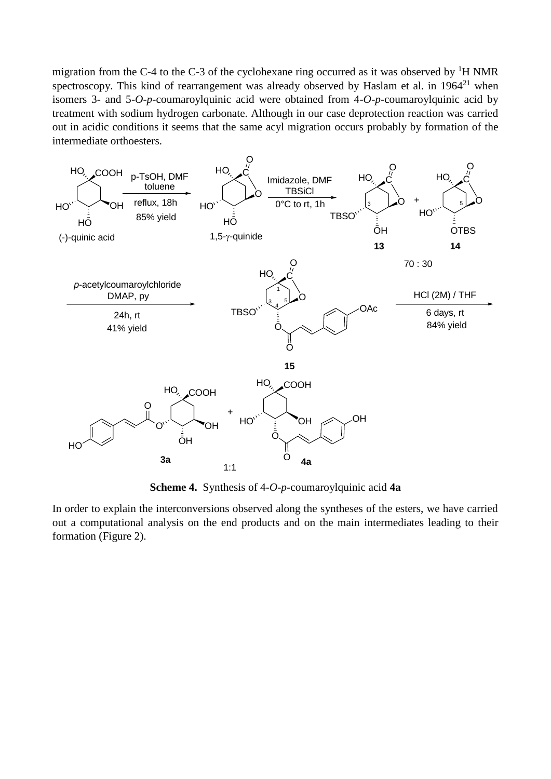migration from the C-4 to the C-3 of the cyclohexane ring occurred as it was observed by  ${}^{1}H$  NMR spectroscopy. This kind of rearrangement was already observed by Haslam et al. in  $1964<sup>21</sup>$  $1964<sup>21</sup>$  $1964<sup>21</sup>$  when isomers 3- and 5-*O*-*p*-coumaroylquinic acid were obtained from 4-*O*-*p*-coumaroylquinic acid by treatment with sodium hydrogen carbonate. Although in our case deprotection reaction was carried out in acidic conditions it seems that the same acyl migration occurs probably by formation of the intermediate orthoesters.



**Scheme 4.** Synthesis of 4-*O*-*p-*coumaroylquinic acid **4a**

In order to explain the interconversions observed along the syntheses of the esters, we have carried out a computational analysis on the end products and on the main intermediates leading to their formation (Figure 2).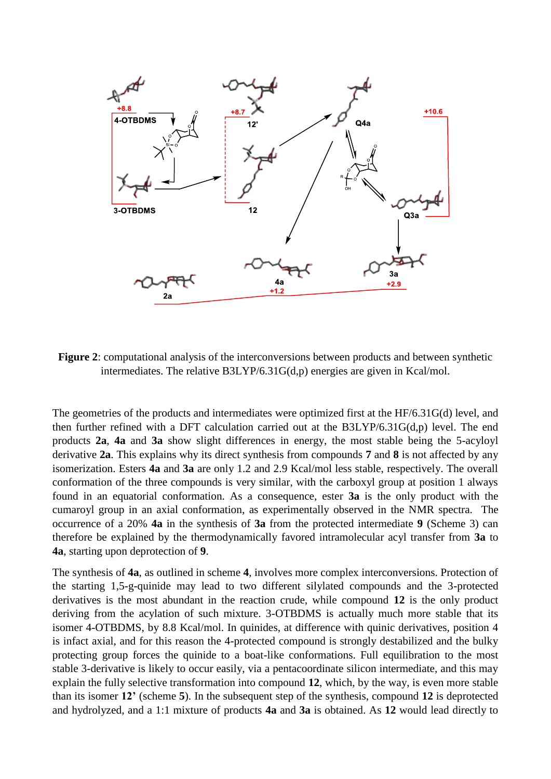

**Figure 2**: computational analysis of the interconversions between products and between synthetic intermediates. The relative B3LYP/6.31G(d,p) energies are given in Kcal/mol.

The geometries of the products and intermediates were optimized first at the HF/6.31G(d) level, and then further refined with a DFT calculation carried out at the B3LYP/6.31G(d,p) level. The end products **2a**, **4a** and **3a** show slight differences in energy, the most stable being the 5-acyloyl derivative **2a**. This explains why its direct synthesis from compounds **7** and **8** is not affected by any isomerization. Esters **4a** and **3a** are only 1.2 and 2.9 Kcal/mol less stable, respectively. The overall conformation of the three compounds is very similar, with the carboxyl group at position 1 always found in an equatorial conformation. As a consequence, ester **3a** is the only product with the cumaroyl group in an axial conformation, as experimentally observed in the NMR spectra. The occurrence of a 20% **4a** in the synthesis of **3a** from the protected intermediate **9** (Scheme 3) can therefore be explained by the thermodynamically favored intramolecular acyl transfer from **3a** to **4a**, starting upon deprotection of **9**.

The synthesis of **4a**, as outlined in scheme **4**, involves more complex interconversions. Protection of the starting 1,5-g-quinide may lead to two different silylated compounds and the 3-protected derivatives is the most abundant in the reaction crude, while compound **12** is the only product deriving from the acylation of such mixture. 3-OTBDMS is actually much more stable that its isomer 4-OTBDMS, by 8.8 Kcal/mol. In quinides, at difference with quinic derivatives, position 4 is infact axial, and for this reason the 4-protected compound is strongly destabilized and the bulky protecting group forces the quinide to a boat-like conformations. Full equilibration to the most stable 3-derivative is likely to occur easily, via a pentacoordinate silicon intermediate, and this may explain the fully selective transformation into compound **12**, which, by the way, is even more stable than its isomer **12'** (scheme **5**). In the subsequent step of the synthesis, compound **12** is deprotected and hydrolyzed, and a 1:1 mixture of products **4a** and **3a** is obtained. As **12** would lead directly to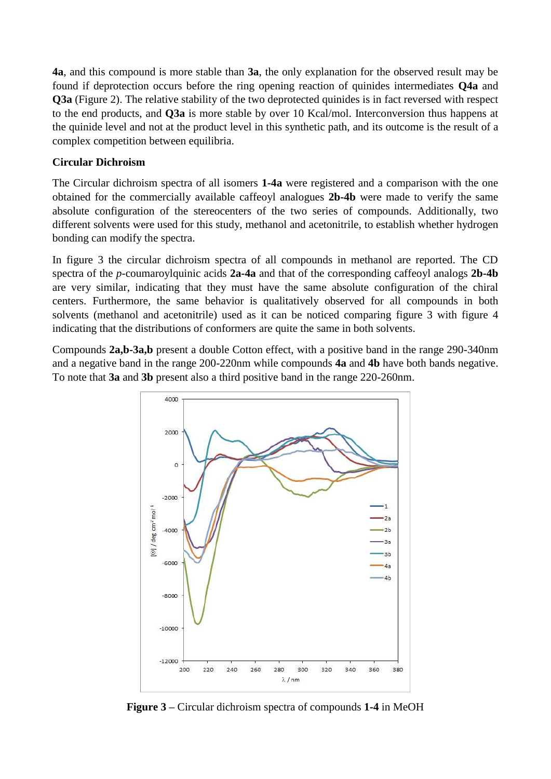**4a**, and this compound is more stable than **3a**, the only explanation for the observed result may be found if deprotection occurs before the ring opening reaction of quinides intermediates **Q4a** and **Q3a** (Figure 2). The relative stability of the two deprotected quinides is in fact reversed with respect to the end products, and **Q3a** is more stable by over 10 Kcal/mol. Interconversion thus happens at the quinide level and not at the product level in this synthetic path, and its outcome is the result of a complex competition between equilibria.

# **Circular Dichroism**

The Circular dichroism spectra of all isomers **1-4a** were registered and a comparison with the one obtained for the commercially available caffeoyl analogues **2b-4b** were made to verify the same absolute configuration of the stereocenters of the two series of compounds. Additionally, two different solvents were used for this study, methanol and acetonitrile, to establish whether hydrogen bonding can modify the spectra.

In figure 3 the circular dichroism spectra of all compounds in methanol are reported. The CD spectra of the *p*-coumaroylquinic acids **2a-4a** and that of the corresponding caffeoyl analogs **2b-4b** are very similar, indicating that they must have the same absolute configuration of the chiral centers. Furthermore, the same behavior is qualitatively observed for all compounds in both solvents (methanol and acetonitrile) used as it can be noticed comparing figure 3 with figure 4 indicating that the distributions of conformers are quite the same in both solvents.

Compounds **2a,b-3a,b** present a double Cotton effect, with a positive band in the range 290-340nm and a negative band in the range 200-220nm while compounds **4a** and **4b** have both bands negative. To note that **3a** and **3b** present also a third positive band in the range 220-260nm.



**Figure 3 –** Circular dichroism spectra of compounds **1-4** in MeOH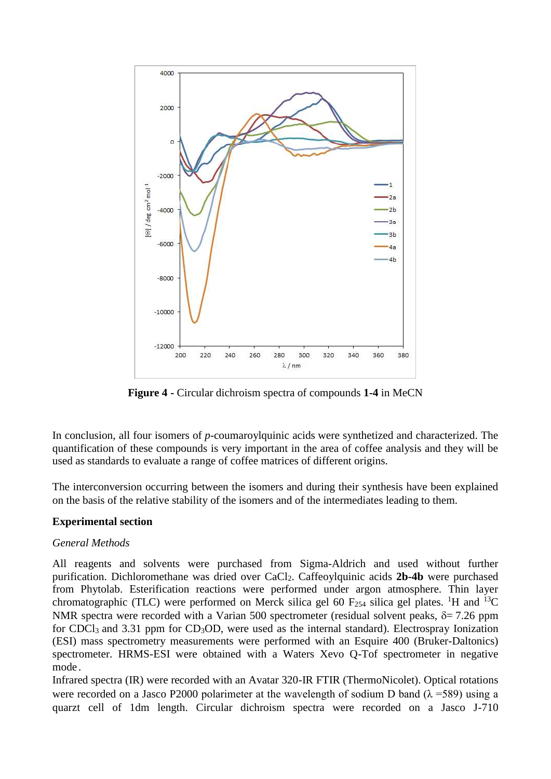

**Figure 4 -** Circular dichroism spectra of compounds **1-4** in MeCN

In conclusion, all four isomers of *p*-coumaroylquinic acids were synthetized and characterized. The quantification of these compounds is very important in the area of coffee analysis and they will be used as standards to evaluate a range of coffee matrices of different origins.

The interconversion occurring between the isomers and during their synthesis have been explained on the basis of the relative stability of the isomers and of the intermediates leading to them.

# **Experimental section**

# *General Methods*

All reagents and solvents were purchased from Sigma-Aldrich and used without further purification. Dichloromethane was dried over CaCl2. Caffeoylquinic acids **2b-4b** were purchased from Phytolab. Esterification reactions were performed under argon atmosphere. Thin layer chromatographic (TLC) were performed on Merck silica gel 60  $F_{254}$  silica gel plates. <sup>1</sup>H and <sup>13</sup>C NMR spectra were recorded with a Varian 500 spectrometer (residual solvent peaks,  $\delta = 7.26$  ppm for CDCl<sub>3</sub> and 3.31 ppm for CD<sub>3</sub>OD, were used as the internal standard). Electrospray Ionization (ESI) mass spectrometry measurements were performed with an Esquire 400 (Bruker-Daltonics) spectrometer. HRMS-ESI were obtained with a Waters Xevo Q-Tof spectrometer in negative mode.

Infrared spectra (IR) were recorded with an Avatar 320-IR FTIR (ThermoNicolet). Optical rotations were recorded on a Jasco P2000 polarimeter at the wavelength of sodium D band ( $\lambda$  =589) using a quarzt cell of 1dm length. Circular dichroism spectra were recorded on a Jasco J-710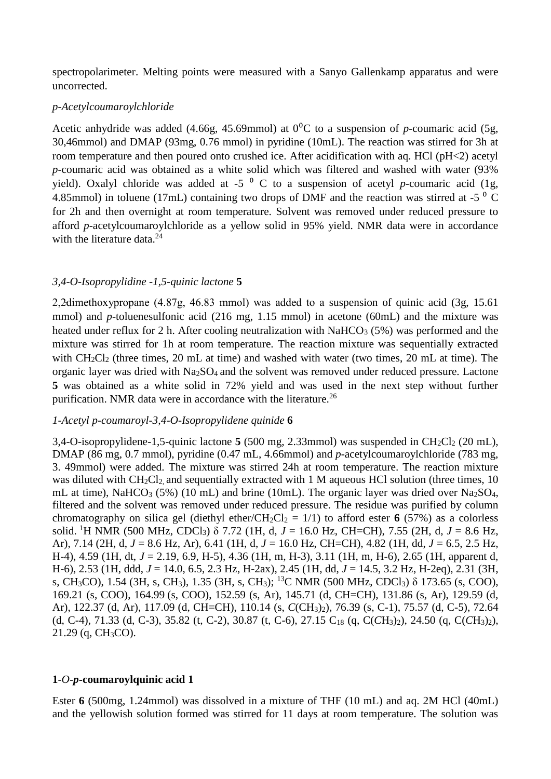spectropolarimeter. Melting points were measured with a Sanyo Gallenkamp apparatus and were uncorrected.

## *p-Acetylcoumaroylchloride*

Acetic anhydride was added (4.66g, 45.69mmol) at  $0^{\circ}$ C to a suspension of *p*-coumaric acid (5g, 30,46mmol) and DMAP (93mg, 0.76 mmol) in pyridine (10mL). The reaction was stirred for 3h at room temperature and then poured onto crushed ice. After acidification with aq. HCl (pH<2) acetyl *p*-coumaric acid was obtained as a white solid which was filtered and washed with water (93% yield). Oxalyl chloride was added at  $-5^{-0}$  C to a suspension of acetyl *p*-coumaric acid (1g, 4.85mmol) in toluene (17mL) containing two drops of DMF and the reaction was stirred at -5  $\degree$  C for 2h and then overnight at room temperature. Solvent was removed under reduced pressure to afford *p*-acetylcoumaroylchloride as a yellow solid in 95% yield. NMR data were in accordance with the literature data. 24

## *3,4-O-Isopropylidine -1,5-quinic lactone* **5**

2,2̵dimethoxypropane (4.87g, 46.83 mmol) was added to a suspension of quinic acid (3g, 15.61 mmol) and *p*-toluenesulfonic acid (216 mg, 1.15 mmol) in acetone (60mL) and the mixture was heated under reflux for 2 h. After cooling neutralization with  $NaHCO<sub>3</sub>$  (5%) was performed and the mixture was stirred for 1h at room temperature. The reaction mixture was sequentially extracted with  $CH_2Cl_2$  (three times, 20 mL at time) and washed with water (two times, 20 mL at time). The organic layer was dried with  $Na<sub>2</sub>SO<sub>4</sub>$  and the solvent was removed under reduced pressure. Lactone **5** was obtained as a white solid in 72% yield and was used in the next step without further purification. NMR data were in accordance with the literature.<sup>26</sup>

# *1-Acetyl p-coumaroyl-3,4-O-Isopropylidene quinide* **6**

3,4-O-isopropylidene-1,5-quinic lactone  $5(500 \text{ mg}, 2.33 \text{ mmol})$  was suspended in CH<sub>2</sub>Cl<sub>2</sub> (20 mL), DMAP (86 mg, 0.7 mmol), pyridine (0.47 mL, 4.66mmol) and *p-*acetylcoumaroylchloride (783 mg, 3. 49mmol) were added. The mixture was stirred 24h at room temperature. The reaction mixture was diluted with  $CH_2Cl_2$  and sequentially extracted with 1 M aqueous HCl solution (three times, 10 mL at time), NaHCO<sub>3</sub> (5%) (10 mL) and brine (10mL). The organic layer was dried over Na<sub>2</sub>SO<sub>4</sub>. filtered and the solvent was removed under reduced pressure. The residue was purified by column chromatography on silica gel (diethyl ether/CH<sub>2</sub>Cl<sub>2</sub> = 1/1) to afford ester **6** (57%) as a colorless solid. <sup>1</sup>H NMR (500 MHz, CDCl3) δ 7.72 (1H, d, *J* = 16.0 Hz, CH=CH), 7.55 (2H, d, *J* = 8.6 Hz, Ar), 7.14 (2H, d, *J* = 8.6 Hz, Ar), 6.41 (1H, d, *J* = 16.0 Hz, CH=CH), 4.82 (1H, dd, *J* = 6.5, 2.5 Hz, H-4), 4.59 (1H, dt, *J* = 2.19, 6.9, H-5), 4.36 (1H, m, H-3), 3.11 (1H, m, H-6), 2.65 (1H, apparent d, H-6), 2.53 (1H, ddd, *J* = 14.0, 6.5, 2.3 Hz, H-2ax), 2.45 (1H, dd, *J* = 14.5, 3.2 Hz, H-2eq), 2.31 (3H, s, CH3CO), 1.54 (3H, s, CH3), 1.35 (3H, s, CH3); <sup>13</sup>C NMR (500 MHz, CDCl3) δ 173.65 (s, COO), 169.21 (s, COO), 164.99 (s, COO), 152.59 (s, Ar), 145.71 (d, CH=CH), 131.86 (s, Ar), 129.59 (d, Ar), 122.37 (d, Ar), 117.09 (d, CH=CH), 110.14 (s, *C*(CH3)2), 76.39 (s, C-1), 75.57 (d, C-5), 72.64 (d, C-4), 71.33 (d, C-3), 35.82 (t, C-2), 30.87 (t, C-6), 27.15 C<sup>18</sup> (q, C(*C*H3)2), 24.50 (q, C(*C*H3)2), 21.29 (q, CH3CO).

## **1***-O-p***-coumaroylquinic acid 1**

Ester **6** (500mg, 1.24mmol) was dissolved in a mixture of THF (10 mL) and aq. 2M HCl (40mL) and the yellowish solution formed was stirred for 11 days at room temperature. The solution was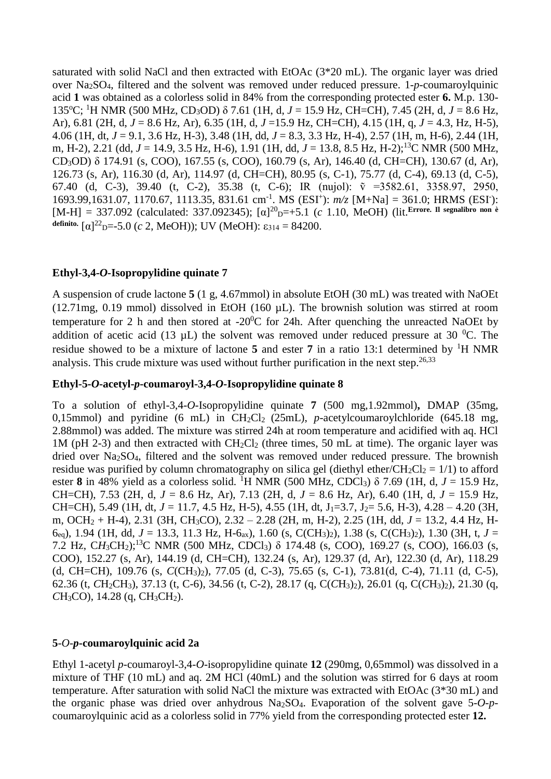saturated with solid NaCl and then extracted with EtOAc (3\*20 mL). The organic layer was dried over Na2SO4, filtered and the solvent was removed under reduced pressure. 1*-p*-coumaroylquinic acid **1** was obtained as a colorless solid in 84% from the corresponding protected ester **6.** M.p. 130- 135<sup>o</sup>C; <sup>1</sup>H NMR (500 MHz, CD3OD) δ 7.61 (1H, d, *J* = 15.9 Hz, CH=CH), 7.45 (2H, d, *J* = 8.6 Hz, Ar), 6.81 (2H, d, *J* = 8.6 Hz, Ar), 6.35 (1H, d, *J* =15.9 Hz, CH=CH), 4.15 (1H, q, *J* = 4.3, Hz, H-5), 4.06 (1H, dt, *J* = 9.1, 3.6 Hz, H-3), 3.48 (1H, dd, *J* = 8.3, 3.3 Hz, H-4), 2.57 (1H, m, H-6), 2.44 (1H, m, H-2), 2.21 (dd, *J* = 14.9, 3.5 Hz, H-6), 1.91 (1H, dd, *J* = 13.8, 8.5 Hz, H-2);<sup>13</sup>C NMR (500 MHz, CD3OD) δ 174.91 (s, COO), 167.55 (s, COO), 160.79 (s, Ar), 146.40 (d, CH=CH), 130.67 (d, Ar), 126.73 (s, Ar), 116.30 (d, Ar), 114.97 (d, CH=CH), 80.95 (s, C-1), 75.77 (d, C-4), 69.13 (d, C-5), 67.40 (d, C-3), 39.40 (t, C-2), 35.38 (t, C-6); IR (nujol):  $\tilde{v} = 3582.61, 3358.97, 2950,$ 1693.99,1631.07, 1170.67, 1113.35, 831.61 cm<sup>-1</sup>. MS (ESI<sup>+</sup>):  $m/z$  [M+Na] = 361.0; HRMS (ESI<sup>-</sup>): [M-H] = 337.092 (calculated: 337.092345); [α]<sup>20</sup><sub>D</sub>=+5.1 (*c* 1.10, MeOH) (lit. Errore. Il segnalibro non è definito.  $[α]^{22}$ <sub>D</sub>=-5.0 (*c* 2, MeOH)); UV (MeOH):  $ε_{314} = 84200$ .

# **Ethyl-3,4-***O-***Isopropylidine quinate 7**

A suspension of crude lactone **5** (1 g, 4.67mmol) in absolute EtOH (30 mL) was treated with NaOEt (12.71mg, 0.19 mmol) dissolved in EtOH (160 µL). The brownish solution was stirred at room temperature for 2 h and then stored at  $-20^{\circ}$ C for 24h. After quenching the unreacted NaOEt by addition of acetic acid (13  $\mu$ L) the solvent was removed under reduced pressure at 30 <sup>o</sup>C. The residue showed to be a mixture of lactone  $\overline{5}$  and ester  $\overline{7}$  in a ratio 13:1 determined by <sup>1</sup>H NMR analysis. This crude mixture was used without further purification in the next step.<sup>26,33</sup>

### **Ethyl-5-***O***-acetyl-***p***-coumaroyl-3,4-***O-***Isopropylidine quinate 8**

To a solution of ethyl-3,4-*O-*Isopropylidine quinate **7** (500 mg,1.92mmol)**,** DMAP (35mg, 0,15mmol) and pyridine (6 mL) in CH<sub>2</sub>Cl<sub>2</sub> (25mL), *p*-acetylcoumaroylchloride (645.18 mg, 2.88mmol) was added. The mixture was stirred 24h at room temperature and acidified with aq. HCl 1M (pH 2-3) and then extracted with  $CH_2Cl_2$  (three times, 50 mL at time). The organic layer was dried over Na2SO4, filtered and the solvent was removed under reduced pressure. The brownish residue was purified by column chromatography on silica gel (diethyl ether/CH<sub>2</sub>Cl<sub>2</sub> = 1/1) to afford ester 8 in 48% yield as a colorless solid. <sup>1</sup>H NMR (500 MHz, CDCl<sub>3</sub>)  $\delta$  7.69 (1H, d, *J* = 15.9 Hz, CH=CH), 7.53 (2H, d, *J* = 8.6 Hz, Ar), 7.13 (2H, d, *J* = 8.6 Hz, Ar), 6.40 (1H, d, *J* = 15.9 Hz, CH=CH), 5.49 (1H, dt,  $J = 11.7$ , 4.5 Hz, H-5), 4.55 (1H, dt,  $J_1=3.7$ ,  $J_2=5.6$ , H-3), 4.28 – 4.20 (3H, m, OCH<sup>2</sup> + H-4), 2.31 (3H, CH3CO), 2.32 – 2.28 (2H, m, H-2), 2.25 (1H, dd, *J* = 13.2, 4.4 Hz, H-6eg), 1.94 (1H, dd,  $J = 13.3$ , 11.3 Hz, H-6<sub>ax</sub>), 1.60 (s, C(CH<sub>3</sub>)<sub>2</sub>), 1.38 (s, C(CH<sub>3</sub>)<sub>2</sub>), 1.30 (3H, t,  $J =$ 7.2 Hz, CH<sub>3</sub>CH<sub>2</sub>);<sup>13</sup>C NMR (500 MHz, CDCl<sub>3</sub>) δ 174.48 (s, COO), 169.27 (s, COO), 166.03 (s, COO), 152.27 (s, Ar), 144.19 (d, CH=CH), 132.24 (s, Ar), 129.37 (d, Ar), 122.30 (d, Ar), 118.29 (d, CH=CH), 109.76 (s, *C*(CH3)2), 77.05 (d, C-3), 75.65 (s, C-1), 73.81(d, C-4), 71.11 (d, C-5), 62.36 (t, *C*H<sub>2</sub>CH<sub>3</sub>), 37.13 (t, C-6), 34.56 (t, C-2), 28.17 (q, *C*(*C*H<sub>3</sub>)<sub>2</sub>), 26.01 (q, *C*(*CH*<sub>3</sub>)<sub>2</sub>), 21.30 (q,  $CH<sub>3</sub>CO$ ), 14.28 (q,  $CH<sub>3</sub>CH<sub>2</sub>$ ).

### **5***-O-p***-coumaroylquinic acid 2a**

Ethyl 1-acetyl *p*-coumaroyl-3,4-*O-*isopropylidine quinate **12** (290mg, 0,65mmol) was dissolved in a mixture of THF (10 mL) and aq. 2M HCl (40mL) and the solution was stirred for 6 days at room temperature. After saturation with solid NaCl the mixture was extracted with EtOAc (3\*30 mL) and the organic phase was dried over anhydrous Na2SO4. Evaporation of the solvent gave 5*-O-p*coumaroylquinic acid as a colorless solid in 77% yield from the corresponding protected ester **12.**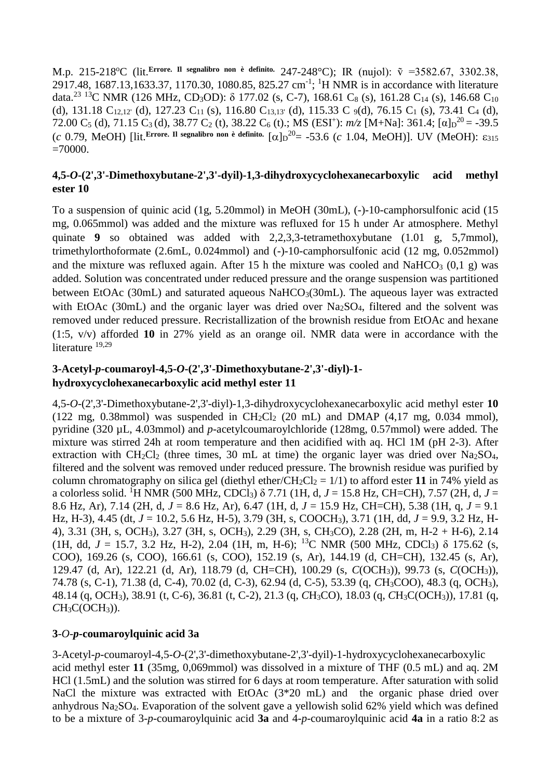M.p. 215-218<sup>o</sup>C (lit. Errore. Il segnalibro non è definito. 247-248<sup>o</sup>C); IR (nujol):  $\tilde{v} = 3582.67, 3302.38,$ 2917.48, 1687.13,1633.37, 1170.30, 1080.85, 825.27 cm<sup>-1</sup>; <sup>1</sup>H NMR is in accordance with literature data.<sup>[23](#page-1-1) 13</sup>C NMR (126 MHz, CD<sub>3</sub>OD):  $\delta$  177.02 (s, C-7), 168.61 C<sub>8</sub> (s), 161.28 C<sub>14</sub> (s), 146.68 C<sub>10</sub> (d), 131.18  $C_{12,12'}$  (d), 127.23  $C_{11}$  (s), 116.80  $C_{13,13'}$  (d), 115.33 C  $\mathfrak{g}(d)$ , 76.15 C<sub>1</sub> (s), 73.41 C<sub>4</sub> (d), 72.00 C<sub>5</sub> (d), 71.15 C<sub>3</sub> (d), 38.77 C<sub>2</sub> (t), 38.22 C<sub>6</sub> (t).; MS (ESI<sup>+</sup>):  $m/z$  [M+Na]: 361.4; [ $\alpha$ ] $D^{20} = -39.5$ (*c* 0.79, MeOH) [lit. Errore. Il segnalibro non è definito.  $[\alpha]_D^{20} = -53.6$  (*c* 1.04, MeOH)]. UV (MeOH):  $\varepsilon_{315}$  $=70000$ .

# **4,5-***O***-(2',3'-Dimethoxybutane-2',3'-dyil)-1,3-dihydroxycyclohexanecarboxylic acid methyl ester 10**

To a suspension of quinic acid (1g, 5.20mmol) in MeOH (30mL), (-)-10-camphorsulfonic acid (15 mg, 0.065mmol) was added and the mixture was refluxed for 15 h under Ar atmosphere. Methyl quinate **9** so obtained was added with 2,2,3,3-tetramethoxybutane (1.01 g, 5,7mmol), trimethylorthoformate (2.6mL, 0.024mmol) and (-)-10-camphorsulfonic acid (12 mg, 0.052mmol) and the mixture was refluxed again. After 15 h the mixture was cooled and NaHCO<sub>3</sub>  $(0,1, g)$  was added. Solution was concentrated under reduced pressure and the orange suspension was partitioned between EtOAc (30mL) and saturated aqueous NaHCO $_3(30m)$ . The aqueous layer was extracted with EtOAc (30mL) and the organic layer was dried over Na<sub>2</sub>SO<sub>4</sub>, filtered and the solvent was removed under reduced pressure. Recristallization of the brownish residue from EtOAc and hexane (1:5, v/v) afforded **10** in 27% yield as an orange oil. NMR data were in accordance with the literature <sup>19,29</sup>

# **3-Acetyl-***p***-coumaroyl-4,5-***O***-(2',3'-Dimethoxybutane-2',3'-diyl)-1 hydroxycyclohexanecarboxylic acid methyl ester 11**

4,5-*O*-(2',3'-Dimethoxybutane-2',3'-diyl)-1,3-dihydroxycyclohexanecarboxylic acid methyl ester **10** (122 mg, 0.38mmol) was suspended in  $CH_2Cl_2$  (20 mL) and DMAP (4.17 mg, 0.034 mmol), pyridine (320 µL, 4.03mmol) and *p-*acetylcoumaroylchloride (128mg, 0.57mmol) were added. The mixture was stirred 24h at room temperature and then acidified with aq. HCl 1M (pH 2-3). After extraction with  $CH_2Cl_2$  (three times, 30 mL at time) the organic layer was dried over Na<sub>2</sub>SO<sub>4</sub>, filtered and the solvent was removed under reduced pressure. The brownish residue was purified by column chromatography on silica gel (diethyl ether/CH<sub>2</sub>Cl<sub>2</sub> = 1/1) to afford ester 11 in 74% yield as a colorless solid. <sup>1</sup>H NMR (500 MHz, CDCl<sub>3</sub>)  $\delta$  7.71 (1H, d, *J* = 15.8 Hz, CH=CH), 7.57 (2H, d, *J* = 8.6 Hz, Ar), 7.14 (2H, d, *J* = 8.6 Hz, Ar), 6.47 (1H, d, *J* = 15.9 Hz, CH=CH), 5.38 (1H, q, *J* = 9.1 Hz, H-3), 4.45 (dt, *J* = 10.2, 5.6 Hz, H-5), 3.79 (3H, s, COOCH3), 3.71 (1H, dd, *J* = 9.9, 3.2 Hz, H-4), 3.31 (3H, s, OCH3), 3.27 (3H, s, OCH3), 2.29 (3H, s, CH3CO), 2.28 (2H, m, H-2 + H-6), 2.14 (1H, dd,  $J = 15.7$ , 3.2 Hz, H-2), 2.04 (1H, m, H-6); <sup>13</sup>C NMR (500 MHz, CDCl<sub>3</sub>)  $\delta$  175.62 (s, COO), 169.26 (s, COO), 166.61 (s, COO), 152.19 (s, Ar), 144.19 (d, CH=CH), 132.45 (s, Ar), 129.47 (d, Ar), 122.21 (d, Ar), 118.79 (d, CH=CH), 100.29 (s, *C*(OCH3)), 99.73 (s, *C*(OCH3)), 74.78 (s, C-1), 71.38 (d, C-4), 70.02 (d, C-3), 62.94 (d, C-5), 53.39 (q, *C*H3COO), 48.3 (q, OCH3), 48.14 (q, OCH3), 38.91 (t, C-6), 36.81 (t, C-2), 21.3 (q, *C*H3CO), 18.03 (q, *C*H3C(OCH3)), 17.81 (q, *C*H3C(OCH3)).

# **3***-O-p***-coumaroylquinic acid 3a**

3-Acetyl-*p*-coumaroyl-4,5-*O*-(2',3'-dimethoxybutane-2',3'-dyil)-1-hydroxycyclohexanecarboxylic acid methyl ester **11** (35mg, 0,069mmol) was dissolved in a mixture of THF (0.5 mL) and aq. 2M HCl (1.5mL) and the solution was stirred for 6 days at room temperature. After saturation with solid NaCl the mixture was extracted with EtOAc (3\*20 mL) and the organic phase dried over anhydrous Na2SO4. Evaporation of the solvent gave a yellowish solid 62% yield which was defined to be a mixture of 3*-p*-coumaroylquinic acid **3a** and 4*-p*-coumaroylquinic acid **4a** in a ratio 8:2 as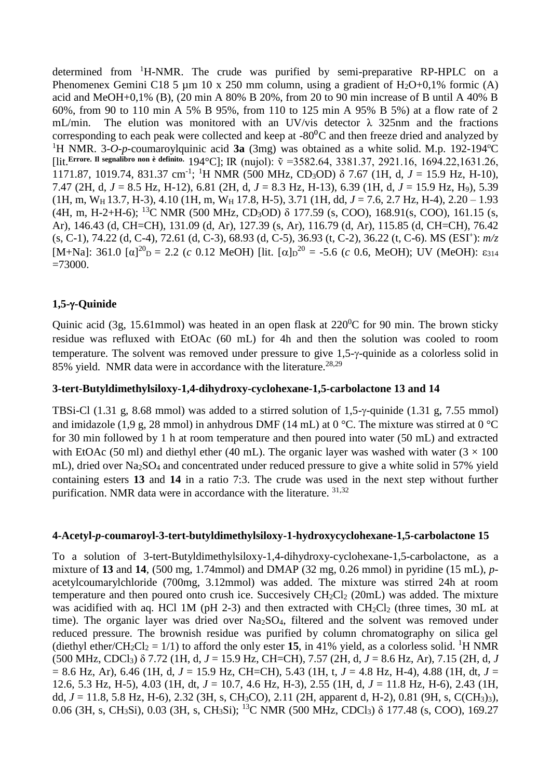determined from <sup>1</sup>H-NMR. The crude was purified by semi-preparative RP-HPLC on a Phenomenex Gemini C18 5  $\mu$ m 10 x 250 mm column, using a gradient of H<sub>2</sub>O+0,1% formic (A) acid and MeOH+0,1% (B), (20 min A 80% B 20%, from 20 to 90 min increase of B until A 40% B 60%, from 90 to 110 min A 5% B 95%, from 110 to 125 min A 95% B 5%) at a flow rate of 2 mL/min. The elution was monitored with an UV/vis detector  $\lambda$  325nm and the fractions corresponding to each peak were collected and keep at  $-80^{\circ}$ C and then freeze dried and analyzed by <sup>1</sup>H NMR. 3-O-p-coumaroylquinic acid **3a** (3mg) was obtained as a white solid. M.p. 192-194<sup>o</sup>C [lit.**Errore. Il segnalibro non è definito.** 194°C]; IR (nujol): ṽ =3582.64, 3381.37, 2921.16, 1694.22,1631.26, 1171.87, 1019.74, 831.37 cm-1 ; <sup>1</sup>H NMR (500 MHz, CD3OD) δ 7.67 (1H, d, *J* = 15.9 Hz, H-10), 7.47 (2H, d, *J* = 8.5 Hz, H-12), 6.81 (2H, d, *J* = 8.3 Hz, H-13), 6.39 (1H, d, *J* = 15.9 Hz, H9), 5.39 (1H, m, WH 13.7*,* H-3), 4.10 (1H, m, W<sup>H</sup> 17.8, H-5), 3.71 (1H, dd, *J* = 7.6, 2.7 Hz, H-4), 2.20 – 1.93 (4H, m, H-2+H-6); <sup>13</sup>C NMR (500 MHz, CD3OD) δ 177.59 (s, COO), 168.91(s, COO), 161.15 (s, Ar), 146.43 (d, CH=CH), 131.09 (d, Ar), 127.39 (s, Ar), 116.79 (d, Ar), 115.85 (d, CH=CH), 76.42 (s, C-1), 74.22 (d, C-4), 72.61 (d, C-3), 68.93 (d, C-5), 36.93 (t, C-2), 36.22 (t, C-6). MS (ESI<sup>+</sup> ): *m/z* [M+Na]: 361.0 [ $\alpha$ ]<sup>20</sup> $\beta$  = 2.2 (*c* 0.12 MeOH) [lit. [ $\alpha$ ] $\beta$ <sup>20</sup> = -5.6 (*c* 0.6, MeOH); UV (MeOH):  $\varepsilon_{314}$  $=73000.$ 

# **1,5--Quinide**

Quinic acid (3g, 15.61mmol) was heated in an open flask at  $220^{\circ}$ C for 90 min. The brown sticky residue was refluxed with EtOAc (60 mL) for 4h and then the solution was cooled to room temperature. The solvent was removed under pressure to give  $1,5-\gamma$ -quinide as a colorless solid in 85% yield.NMR data were in accordance with the literature. 28,29

## **3-tert-Butyldimethylsiloxy-1,4-dihydroxy-cyclohexane-1,5-carbolactone 13 and 14**

TBSi-Cl (1.31 g, 8.68 mmol) was added to a stirred solution of 1.5- $\gamma$ -quinide (1.31 g, 7.55 mmol) and imidazole (1,9 g, 28 mmol) in anhydrous DMF (14 mL) at 0 °C. The mixture was stirred at 0 °C for 30 min followed by 1 h at room temperature and then poured into water (50 mL) and extracted with EtOAc (50 ml) and diethyl ether (40 mL). The organic layer was washed with water ( $3 \times 100$ ) mL), dried over Na2SO<sup>4</sup> and concentrated under reduced pressure to give a white solid in 57% yield containing esters **13** and **14** in a ratio 7:3. The crude was used in the next step without further purification. NMR data were in accordance with the literature. <sup>31,32</sup>

## **4-Acetyl-***p***-coumaroyl-3-tert-butyldimethylsiloxy-1-hydroxycyclohexane-1,5-carbolactone 15**

To a solution of 3-tert-Butyldimethylsiloxy-1,4-dihydroxy-cyclohexane-1,5-carbolactone, as a mixture of **13** and **14**, (500 mg, 1.74mmol) and DMAP (32 mg, 0.26 mmol) in pyridine (15 mL), *p*acetylcoumarylchloride (700mg, 3.12mmol) was added. The mixture was stirred 24h at room temperature and then poured onto crush ice. Succesively  $CH_2Cl_2$  (20mL) was added. The mixture was acidified with aq. HCl 1M (pH 2-3) and then extracted with  $CH_2Cl_2$  (three times, 30 mL at time). The organic layer was dried over Na<sub>2</sub>SO<sub>4</sub>, filtered and the solvent was removed under reduced pressure. The brownish residue was purified by column chromatography on silica gel (diethyl ether/CH<sub>2</sub>Cl<sub>2</sub> = 1/1) to afford the only ester **15**, in 41% yield, as a colorless solid. <sup>1</sup>H NMR (500 MHz, CDCl3) δ 7.72 (1H, d, *J* = 15.9 Hz, CH=CH), 7.57 (2H, d, *J* = 8.6 Hz, Ar), 7.15 (2H, d, *J*  $= 8.6$  Hz, Ar), 6.46 (1H, d,  $J = 15.9$  Hz, CH=CH), 5.43 (1H, t,  $J = 4.8$  Hz, H-4), 4.88 (1H, dt,  $J =$ 12.6, 5.3 Hz, H-5), 4.03 (1H, dt, *J* = 10.7, 4.6 Hz, H-3), 2.55 (1H, d, *J* = 11.8 Hz, H-6), 2.43 (1H, dd, *J* = 11.8, 5.8 Hz, H-6), 2.32 (3H, s, CH3CO), 2.11 (2H, apparent d, H-2), 0.81 (9H, s, C(CH3)3), 0.06 (3H, s, CH3Si), 0.03 (3H, s, CH3Si); <sup>13</sup>C NMR (500 MHz, CDCl3) δ 177.48 (s, COO), 169.27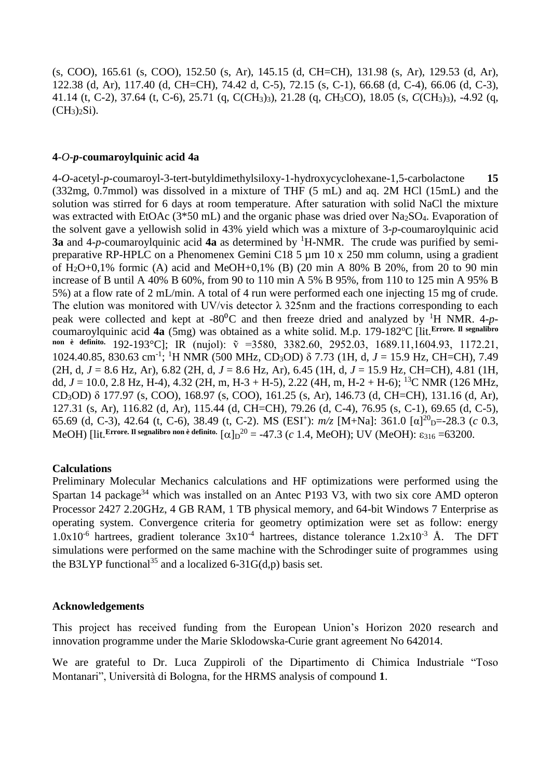(s, COO), 165.61 (s, COO), 152.50 (s, Ar), 145.15 (d, CH=CH), 131.98 (s, Ar), 129.53 (d, Ar), 122.38 (d, Ar), 117.40 (d, CH=CH), 74.42 d, C-5), 72.15 (s, C-1), 66.68 (d, C-4), 66.06 (d, C-3), 41.14 (t, C-2), 37.64 (t, C-6), 25.71 (q, C(*C*H3)3), 21.28 (q, *C*H3CO), 18.05 (s, *C*(CH3)3), -4.92 (q,  $(CH_3)_2Si$ ).

## **4***-O-p***-coumaroylquinic acid 4a**

4-*O*-acetyl-*p*-coumaroyl-3-tert-butyldimethylsiloxy-1-hydroxycyclohexane-1,5-carbolactone **15** (332mg, 0.7mmol) was dissolved in a mixture of THF (5 mL) and aq. 2M HCl (15mL) and the solution was stirred for 6 days at room temperature. After saturation with solid NaCl the mixture was extracted with EtOAc (3\*50 mL) and the organic phase was dried over Na<sub>2</sub>SO<sub>4</sub>. Evaporation of the solvent gave a yellowish solid in 43% yield which was a mixture of 3*-p*-coumaroylquinic acid **3a** and 4-p-coumarovlquinic acid **4a** as determined by <sup>1</sup>H-NMR. The crude was purified by semipreparative RP-HPLC on a Phenomenex Gemini C18 5  $\mu$ m 10 x 250 mm column, using a gradient of H2O+0,1% formic (A) acid and MeOH+0,1% (B) (20 min A 80% B 20%, from 20 to 90 min increase of B until A 40% B 60%, from 90 to 110 min A 5% B 95%, from 110 to 125 min A 95% B 5%) at a flow rate of 2 mL/min. A total of 4 run were performed each one injecting 15 mg of crude. The elution was monitored with UV/vis detector  $\lambda$  325nm and the fractions corresponding to each peak were collected and kept at  $-80^{\circ}$ C and then freeze dried and analyzed by <sup>1</sup>H NMR. 4*-p*coumaroylquinic acid 4a (5mg) was obtained as a white solid. M.p. 179-182<sup>o</sup>C [lit.<sup>Errore. Il segnalibro]</sup> non è definito. 192-193°C]; IR (nujol):  $\tilde{v}$  =3580, 3382.60, 2952.03, 1689.11,1604.93, 1172.21, 1024.40.85, 830.63 cm-1 ; <sup>1</sup>H NMR (500 MHz, CD3OD) δ 7.73 (1H, d, *J* = 15.9 Hz, CH=CH), 7.49 (2H, d, *J* = 8.6 Hz, Ar), 6.82 (2H, d, *J* = 8.6 Hz, Ar), 6.45 (1H, d, *J* = 15.9 Hz, CH=CH), 4.81 (1H, dd,  $J = 10.0$ , 2.8 Hz, H-4), 4.32 (2H, m, H-3 + H-5), 2.22 (4H, m, H-2 + H-6); <sup>13</sup>C NMR (126 MHz, CD3OD) δ 177.97 (s, COO), 168.97 (s, COO), 161.25 (s, Ar), 146.73 (d, CH=CH), 131.16 (d, Ar), 127.31 (s, Ar), 116.82 (d, Ar), 115.44 (d, CH=CH), 79.26 (d, C-4), 76.95 (s, C-1), 69.65 (d, C-5), 65.69 (d, C-3), 42.64 (t, C-6), 38.49 (t, C-2). MS (ESI<sup>+</sup>):  $m/z$  [M+Na]: 361.0 [α]<sup>20</sup><sub>D</sub>=-28.3 (*c* 0.3, MeOH) [lit.<sup>Errore. Il segnalibro non è definito.</sup>  $\left[\alpha\right]_{D}^{20}$  = -47.3 ( $c$  1.4, MeOH); UV (MeOH):  $\varepsilon_{316}$  =63200.

## **Calculations**

Preliminary Molecular Mechanics calculations and HF optimizations were performed using the Spartan 14 package<sup>34</sup> which was installed on an Antec P193 V3, with two six core AMD opteron Processor 2427 2.20GHz, 4 GB RAM, 1 TB physical memory, and 64-bit Windows 7 Enterprise as operating system. Convergence criteria for geometry optimization were set as follow: energy  $1.0x10^{-6}$  hartrees, gradient tolerance  $3x10^{-4}$  hartrees, distance tolerance  $1.2x10^{-3}$  Å. The DFT simulations were performed on the same machine with the Schrodinger suite of programmes using the B3LYP functional<sup>35</sup> and a localized  $6-31G(d,p)$  basis set.

### **Acknowledgements**

This project has received funding from the European Union's Horizon 2020 research and innovation programme under the Marie Sklodowska-Curie grant agreement No 642014.

We are grateful to Dr. Luca Zuppiroli of the Dipartimento di Chimica Industriale "Toso Montanari", Università di Bologna, for the HRMS analysis of compound **1**.